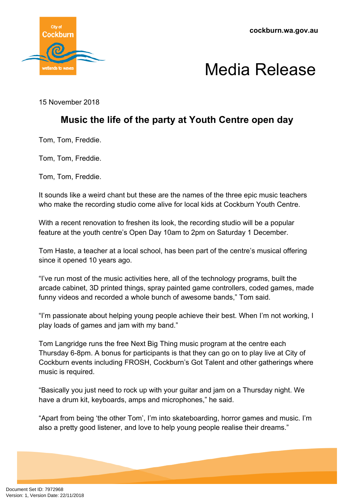

## Media Release

15 November 2018

### **Music the life of the party at Youth Centre open day**

Tom, Tom, Freddie.

Tom, Tom, Freddie.

Tom, Tom, Freddie.

It sounds like a weird chant but these are the names of the three epic music teachers who make the recording studio come alive for local kids at Cockburn Youth Centre.

With a recent renovation to freshen its look, the recording studio will be a popular feature at the youth centre's Open Day 10am to 2pm on Saturday 1 December.

Tom Haste, a teacher at a local school, has been part of the centre's musical offering since it opened 10 years ago.

"I've run most of the music activities here, all of the technology programs, built the arcade cabinet, 3D printed things, spray painted game controllers, coded games, made funny videos and recorded a whole bunch of awesome bands," Tom said.

"I'm passionate about helping young people achieve their best. When I'm not working, I play loads of games and jam with my band."

Tom Langridge runs the free Next Big Thing music program at the centre each Thursday 6-8pm. A bonus for participants is that they can go on to play live at City of Cockburn events including FROSH, Cockburn's Got Talent and other gatherings where music is required.

"Basically you just need to rock up with your guitar and jam on a Thursday night. We have a drum kit, keyboards, amps and microphones," he said.

"Apart from being 'the other Tom', I'm into skateboarding, horror games and music. I'm also a pretty good listener, and love to help young people realise their dreams."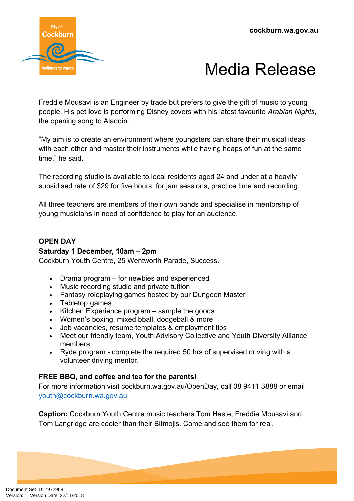

# Media Release

Freddie Mousavi is an Engineer by trade but prefers to give the gift of music to young people. His pet love is performing Disney covers with his latest favourite *Arabian Nights*, the opening song to Aladdin.

"My aim is to create an environment where youngsters can share their musical ideas with each other and master their instruments while having heaps of fun at the same time," he said.

The recording studio is available to local residents aged 24 and under at a heavily subsidised rate of \$29 for five hours, for jam sessions, practice time and recording.

All three teachers are members of their own bands and specialise in mentorship of young musicians in need of confidence to play for an audience.

### **OPEN DAY**

#### **Saturday 1 December, 10am – 2pm**

Cockburn Youth Centre, 25 Wentworth Parade, Success.

- Drama program for newbies and experienced
- Music recording studio and private tuition
- Fantasy roleplaying games hosted by our Dungeon Master
- Tabletop games
- $\bullet$  Kitchen Experience program  $-$  sample the goods
- Women's boxing, mixed bball, dodgeball & more
- Job vacancies, resume templates & employment tips
- Meet our friendly team, Youth Advisory Collective and Youth Diversity Alliance members
- Ryde program complete the required 50 hrs of supervised driving with a volunteer driving mentor.

### **FREE BBQ, and coffee and tea for the parents!**

For more information visit cockburn.wa.gov.au/OpenDay, call 08 9411 3888 or email [youth@cockburn.wa.gov.au](mailto:youth@cockburn.wa.gov.au)

**Caption:** Cockburn Youth Centre music teachers Tom Haste, Freddie Mousavi and Tom Langridge are cooler than their Bitmojis. Come and see them for real.